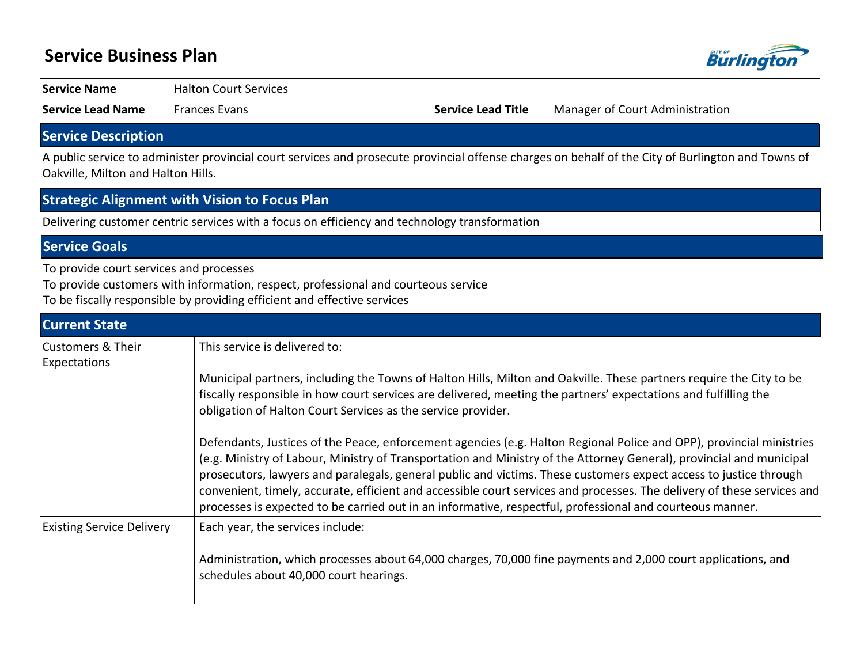# **Service Business Plan**



**Service Name** Halton Court Services

**Service Lead Name** Frances Evans **Service Lead Title** Manager of Court Administration

# **Service Description**

A public service to administer provincial court services and prosecute provincial offense charges on behalf of the City of Burlington and Towns of Oakville, Milton and Halton Hills.

### **Strategic Alignment with Vision to Focus Plan**

Delivering customer centric services with a focus on efficiency and technology transformation

## **Service Goals**

To provide court services and processes

To provide customers with information, respect, professional and courteous service

To be fiscally responsible by providing efficient and effective services

| <b>Current State</b>                         |                                                                                                                                                                                                                                                                                                                                                                                                                                                                                                                                                                                                           |
|----------------------------------------------|-----------------------------------------------------------------------------------------------------------------------------------------------------------------------------------------------------------------------------------------------------------------------------------------------------------------------------------------------------------------------------------------------------------------------------------------------------------------------------------------------------------------------------------------------------------------------------------------------------------|
| <b>Customers &amp; Their</b><br>Expectations | This service is delivered to:                                                                                                                                                                                                                                                                                                                                                                                                                                                                                                                                                                             |
|                                              | Municipal partners, including the Towns of Halton Hills, Milton and Oakville. These partners require the City to be<br>fiscally responsible in how court services are delivered, meeting the partners' expectations and fulfilling the<br>obligation of Halton Court Services as the service provider.                                                                                                                                                                                                                                                                                                    |
|                                              | Defendants, Justices of the Peace, enforcement agencies (e.g. Halton Regional Police and OPP), provincial ministries<br>(e.g. Ministry of Labour, Ministry of Transportation and Ministry of the Attorney General), provincial and municipal<br>prosecutors, lawyers and paralegals, general public and victims. These customers expect access to justice through<br>convenient, timely, accurate, efficient and accessible court services and processes. The delivery of these services and<br>processes is expected to be carried out in an informative, respectful, professional and courteous manner. |
| <b>Existing Service Delivery</b>             | Each year, the services include:<br>Administration, which processes about 64,000 charges, 70,000 fine payments and 2,000 court applications, and<br>schedules about 40,000 court hearings.                                                                                                                                                                                                                                                                                                                                                                                                                |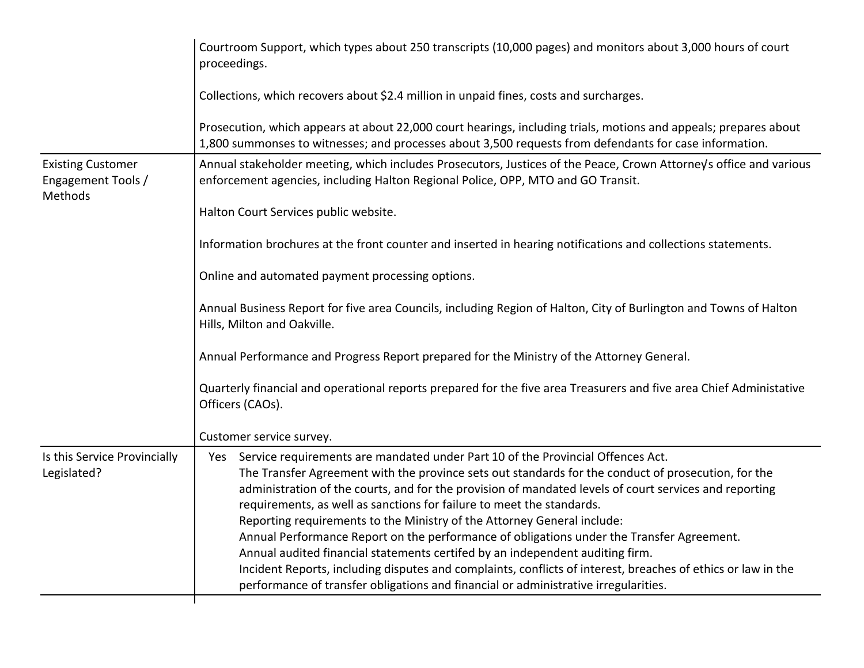| Courtroom Support, which types about 250 transcripts (10,000 pages) and monitors about 3,000 hours of court<br>proceedings.                                                                                                                                                                                                                                                                                                                                                                                                                                                                                                                                                                                                                                                                                                                      |  |  |  |  |  |  |  |
|--------------------------------------------------------------------------------------------------------------------------------------------------------------------------------------------------------------------------------------------------------------------------------------------------------------------------------------------------------------------------------------------------------------------------------------------------------------------------------------------------------------------------------------------------------------------------------------------------------------------------------------------------------------------------------------------------------------------------------------------------------------------------------------------------------------------------------------------------|--|--|--|--|--|--|--|
| Collections, which recovers about \$2.4 million in unpaid fines, costs and surcharges.                                                                                                                                                                                                                                                                                                                                                                                                                                                                                                                                                                                                                                                                                                                                                           |  |  |  |  |  |  |  |
| Prosecution, which appears at about 22,000 court hearings, including trials, motions and appeals; prepares about<br>1,800 summonses to witnesses; and processes about 3,500 requests from defendants for case information.                                                                                                                                                                                                                                                                                                                                                                                                                                                                                                                                                                                                                       |  |  |  |  |  |  |  |
| Annual stakeholder meeting, which includes Prosecutors, Justices of the Peace, Crown Attorney's office and various<br>enforcement agencies, including Halton Regional Police, OPP, MTO and GO Transit.                                                                                                                                                                                                                                                                                                                                                                                                                                                                                                                                                                                                                                           |  |  |  |  |  |  |  |
| Halton Court Services public website.                                                                                                                                                                                                                                                                                                                                                                                                                                                                                                                                                                                                                                                                                                                                                                                                            |  |  |  |  |  |  |  |
| Information brochures at the front counter and inserted in hearing notifications and collections statements.                                                                                                                                                                                                                                                                                                                                                                                                                                                                                                                                                                                                                                                                                                                                     |  |  |  |  |  |  |  |
| Online and automated payment processing options.                                                                                                                                                                                                                                                                                                                                                                                                                                                                                                                                                                                                                                                                                                                                                                                                 |  |  |  |  |  |  |  |
| Annual Business Report for five area Councils, including Region of Halton, City of Burlington and Towns of Halton<br>Hills, Milton and Oakville.                                                                                                                                                                                                                                                                                                                                                                                                                                                                                                                                                                                                                                                                                                 |  |  |  |  |  |  |  |
| Annual Performance and Progress Report prepared for the Ministry of the Attorney General.                                                                                                                                                                                                                                                                                                                                                                                                                                                                                                                                                                                                                                                                                                                                                        |  |  |  |  |  |  |  |
| Quarterly financial and operational reports prepared for the five area Treasurers and five area Chief Administative<br>Officers (CAOs).                                                                                                                                                                                                                                                                                                                                                                                                                                                                                                                                                                                                                                                                                                          |  |  |  |  |  |  |  |
| Customer service survey.                                                                                                                                                                                                                                                                                                                                                                                                                                                                                                                                                                                                                                                                                                                                                                                                                         |  |  |  |  |  |  |  |
| Service requirements are mandated under Part 10 of the Provincial Offences Act.<br>Yes<br>The Transfer Agreement with the province sets out standards for the conduct of prosecution, for the<br>administration of the courts, and for the provision of mandated levels of court services and reporting<br>requirements, as well as sanctions for failure to meet the standards.<br>Reporting requirements to the Ministry of the Attorney General include:<br>Annual Performance Report on the performance of obligations under the Transfer Agreement.<br>Annual audited financial statements certifed by an independent auditing firm.<br>Incident Reports, including disputes and complaints, conflicts of interest, breaches of ethics or law in the<br>performance of transfer obligations and financial or administrative irregularities. |  |  |  |  |  |  |  |
|                                                                                                                                                                                                                                                                                                                                                                                                                                                                                                                                                                                                                                                                                                                                                                                                                                                  |  |  |  |  |  |  |  |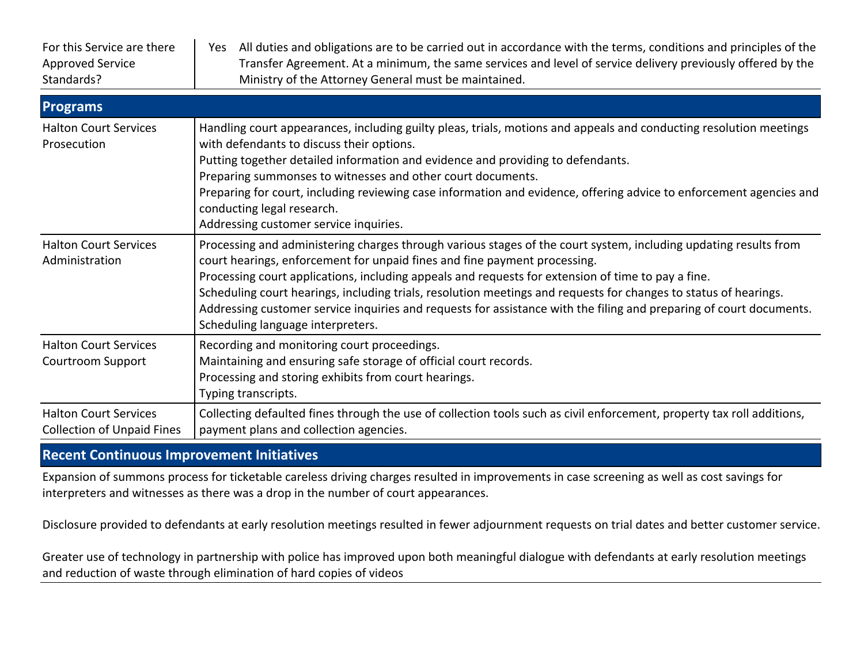| For this Service are there<br><b>Approved Service</b><br>Standards? | Yes All duties and obligations are to be carried out in accordance with the terms, conditions and principles of the<br>Transfer Agreement. At a minimum, the same services and level of service delivery previously offered by the<br>Ministry of the Attorney General must be maintained.                                                                                                                                                                                                                                                                                          |
|---------------------------------------------------------------------|-------------------------------------------------------------------------------------------------------------------------------------------------------------------------------------------------------------------------------------------------------------------------------------------------------------------------------------------------------------------------------------------------------------------------------------------------------------------------------------------------------------------------------------------------------------------------------------|
| <b>Programs</b>                                                     |                                                                                                                                                                                                                                                                                                                                                                                                                                                                                                                                                                                     |
| <b>Halton Court Services</b><br>Prosecution                         | Handling court appearances, including guilty pleas, trials, motions and appeals and conducting resolution meetings<br>with defendants to discuss their options.<br>Putting together detailed information and evidence and providing to defendants.<br>Preparing summonses to witnesses and other court documents.<br>Preparing for court, including reviewing case information and evidence, offering advice to enforcement agencies and<br>conducting legal research.<br>Addressing customer service inquiries.                                                                    |
| <b>Halton Court Services</b><br>Administration                      | Processing and administering charges through various stages of the court system, including updating results from<br>court hearings, enforcement for unpaid fines and fine payment processing.<br>Processing court applications, including appeals and requests for extension of time to pay a fine.<br>Scheduling court hearings, including trials, resolution meetings and requests for changes to status of hearings.<br>Addressing customer service inquiries and requests for assistance with the filing and preparing of court documents.<br>Scheduling language interpreters. |
| <b>Halton Court Services</b><br><b>Courtroom Support</b>            | Recording and monitoring court proceedings.<br>Maintaining and ensuring safe storage of official court records.<br>Processing and storing exhibits from court hearings.<br>Typing transcripts.                                                                                                                                                                                                                                                                                                                                                                                      |
| <b>Halton Court Services</b><br><b>Collection of Unpaid Fines</b>   | Collecting defaulted fines through the use of collection tools such as civil enforcement, property tax roll additions,<br>payment plans and collection agencies.                                                                                                                                                                                                                                                                                                                                                                                                                    |

## **Recent Continuous Improvement Initiatives**

Expansion of summons process for ticketable careless driving charges resulted in improvements in case screening as well as cost savings for interpreters and witnesses as there was a drop in the number of court appearances.

Disclosure provided to defendants at early resolution meetings resulted in fewer adjournment requests on trial dates and better customer service.

Greater use of technology in partnership with police has improved upon both meaningful dialogue with defendants at early resolution meetings and reduction of waste through elimination of hard copies of videos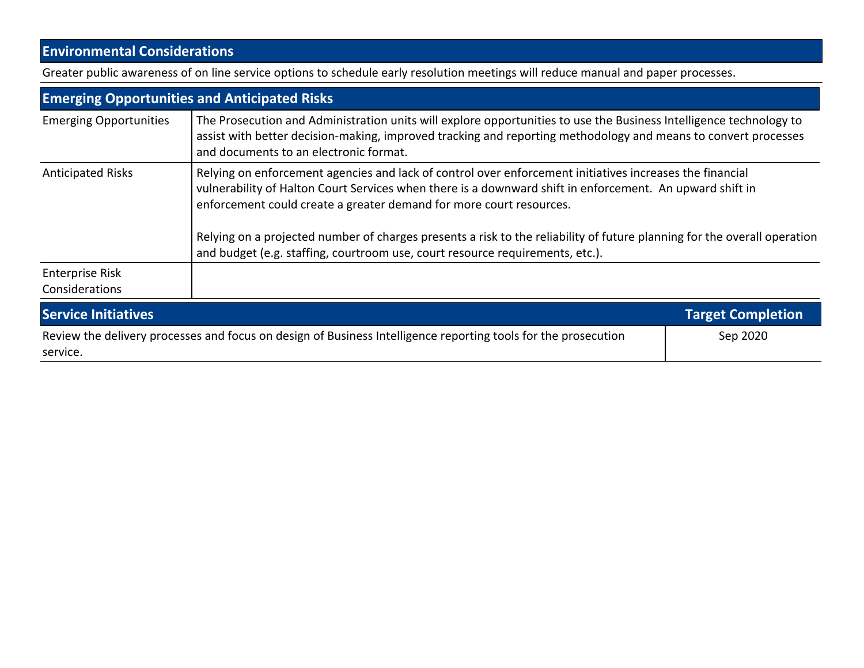# **Environmental Considerations**

Greater public awareness of on line service options to schedule early resolution meetings will reduce manual and paper processes.

|                                                                                                                            | <b>Emerging Opportunities and Anticipated Risks</b>                                                                                                                                                                                                                                                                                                                                                                                                                                                      |                          |  |  |  |  |
|----------------------------------------------------------------------------------------------------------------------------|----------------------------------------------------------------------------------------------------------------------------------------------------------------------------------------------------------------------------------------------------------------------------------------------------------------------------------------------------------------------------------------------------------------------------------------------------------------------------------------------------------|--------------------------|--|--|--|--|
| <b>Emerging Opportunities</b>                                                                                              | The Prosecution and Administration units will explore opportunities to use the Business Intelligence technology to<br>assist with better decision-making, improved tracking and reporting methodology and means to convert processes<br>and documents to an electronic format.                                                                                                                                                                                                                           |                          |  |  |  |  |
| <b>Anticipated Risks</b>                                                                                                   | Relying on enforcement agencies and lack of control over enforcement initiatives increases the financial<br>vulnerability of Halton Court Services when there is a downward shift in enforcement. An upward shift in<br>enforcement could create a greater demand for more court resources.<br>Relying on a projected number of charges presents a risk to the reliability of future planning for the overall operation<br>and budget (e.g. staffing, courtroom use, court resource requirements, etc.). |                          |  |  |  |  |
| <b>Enterprise Risk</b><br>Considerations                                                                                   |                                                                                                                                                                                                                                                                                                                                                                                                                                                                                                          |                          |  |  |  |  |
| <b>Service Initiatives</b>                                                                                                 |                                                                                                                                                                                                                                                                                                                                                                                                                                                                                                          | <b>Target Completion</b> |  |  |  |  |
| Review the delivery processes and focus on design of Business Intelligence reporting tools for the prosecution<br>Sep 2020 |                                                                                                                                                                                                                                                                                                                                                                                                                                                                                                          |                          |  |  |  |  |

service.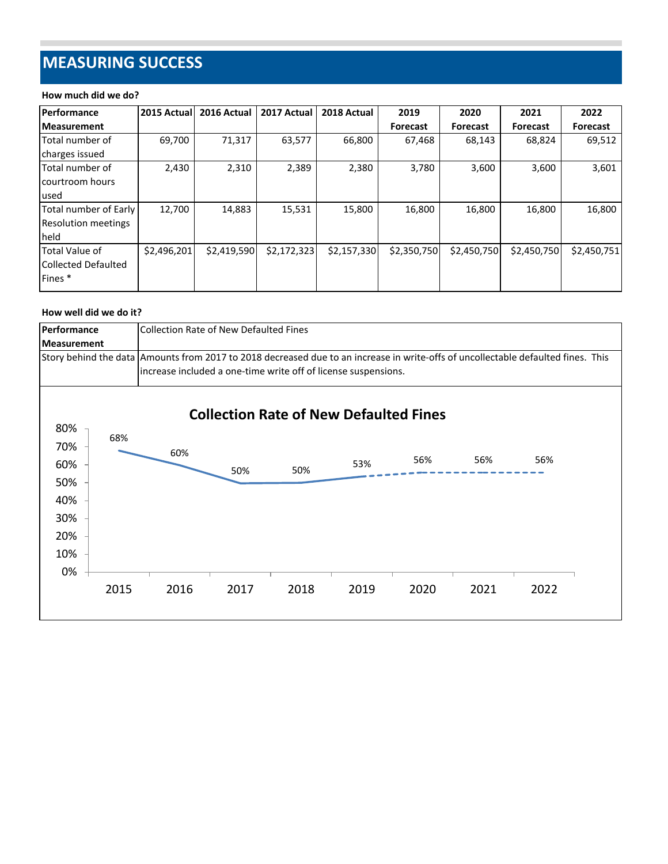# **MEASURING SUCCESS**

#### **How much did we do?**

| <b>Performance</b>         | 2015 Actuall | 2016 Actual | 2017 Actual | 2018 Actual | 2019            | 2020            | 2021            | 2022            |
|----------------------------|--------------|-------------|-------------|-------------|-----------------|-----------------|-----------------|-----------------|
| <b>Measurement</b>         |              |             |             |             | <b>Forecast</b> | <b>Forecast</b> | <b>Forecast</b> | <b>Forecast</b> |
| Total number of            | 69.700       | 71,317      | 63,577      | 66,800      | 67,468          | 68,143          | 68,824          | 69,512          |
| charges issued             |              |             |             |             |                 |                 |                 |                 |
| Total number of            | 2,430        | 2,310       | 2,389       | 2,380       | 3,780           | 3,600           | 3,600           | 3,601           |
| lcourtroom hours           |              |             |             |             |                 |                 |                 |                 |
| used                       |              |             |             |             |                 |                 |                 |                 |
| Total number of Early      | 12,700       | 14,883      | 15,531      | 15,800      | 16,800          | 16,800          | 16,800          | 16,800          |
| <b>Resolution meetings</b> |              |             |             |             |                 |                 |                 |                 |
| held                       |              |             |             |             |                 |                 |                 |                 |
| Total Value of             | \$2,496,201  | \$2,419,590 | \$2,172,323 | \$2,157,330 | \$2,350,750     | \$2,450,750     | \$2,450,750     | \$2,450,751     |
| <b>Collected Defaulted</b> |              |             |             |             |                 |                 |                 |                 |
| Fines <sup>*</sup>         |              |             |             |             |                 |                 |                 |                 |

#### **How well did we do it?**

| Performance        |      | <b>Collection Rate of New Defaulted Fines</b>                                                                                                                                                         |      |                                               |      |      |      |      |  |
|--------------------|------|-------------------------------------------------------------------------------------------------------------------------------------------------------------------------------------------------------|------|-----------------------------------------------|------|------|------|------|--|
| <b>Measurement</b> |      |                                                                                                                                                                                                       |      |                                               |      |      |      |      |  |
|                    |      | Story behind the data   Amounts from 2017 to 2018 decreased due to an increase in write-offs of uncollectable defaulted fines. This<br>increase included a one-time write off of license suspensions. |      |                                               |      |      |      |      |  |
|                    |      |                                                                                                                                                                                                       |      | <b>Collection Rate of New Defaulted Fines</b> |      |      |      |      |  |
| 80%                | 68%  |                                                                                                                                                                                                       |      |                                               |      |      |      |      |  |
| 70%                |      | 60%                                                                                                                                                                                                   |      |                                               |      |      |      |      |  |
| 60%                |      |                                                                                                                                                                                                       | 50%  | 50%                                           | 53%  | 56%  | 56%  | 56%  |  |
| 50%                |      |                                                                                                                                                                                                       |      |                                               |      |      |      |      |  |
| 40%                |      |                                                                                                                                                                                                       |      |                                               |      |      |      |      |  |
| 30%                |      |                                                                                                                                                                                                       |      |                                               |      |      |      |      |  |
| 20%                |      |                                                                                                                                                                                                       |      |                                               |      |      |      |      |  |
| 10%                |      |                                                                                                                                                                                                       |      |                                               |      |      |      |      |  |
| 0%                 |      |                                                                                                                                                                                                       |      |                                               |      |      |      |      |  |
|                    | 2015 | 2016                                                                                                                                                                                                  | 2017 | 2018                                          | 2019 | 2020 | 2021 | 2022 |  |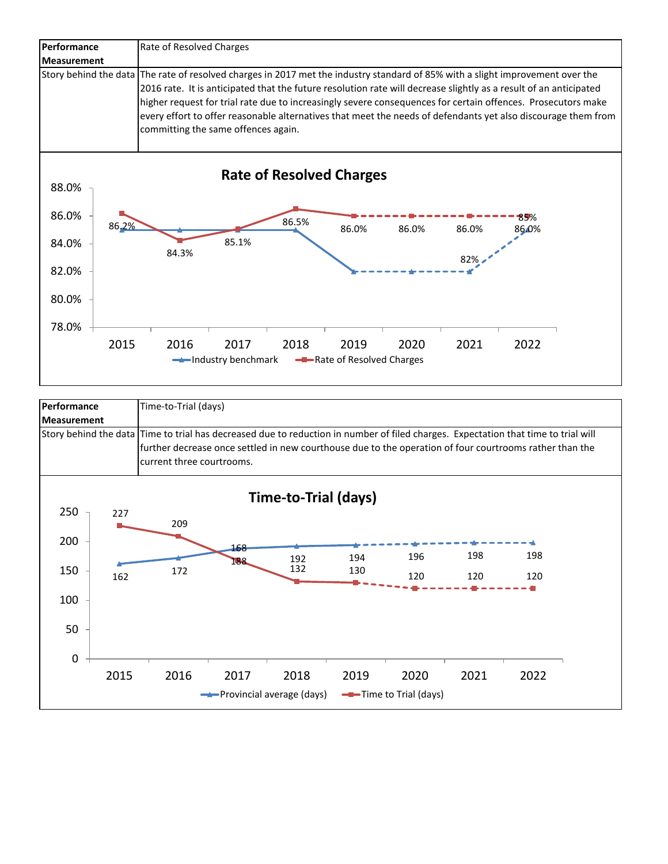

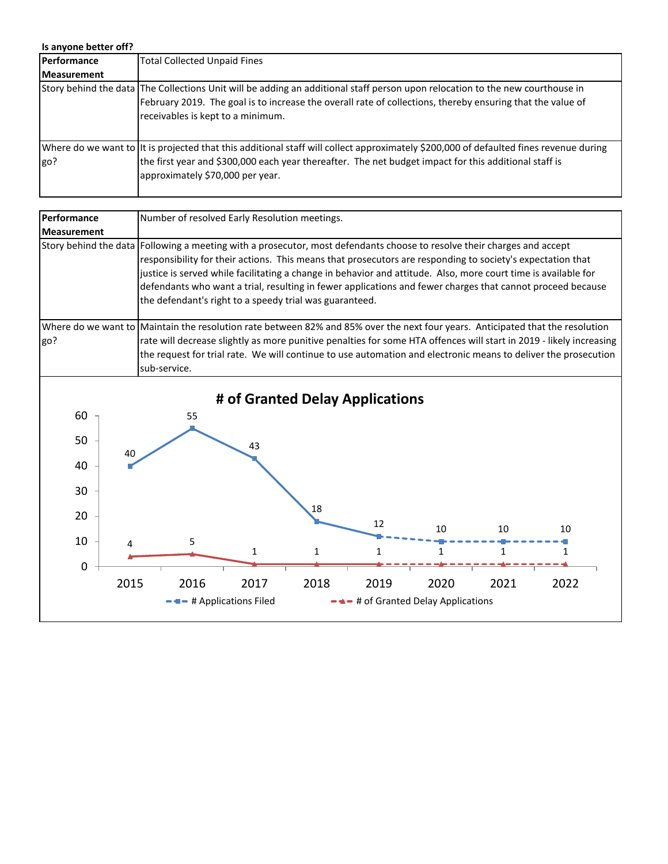| Is anyone better off? |                                                                                                                                                                                                                                                                                     |
|-----------------------|-------------------------------------------------------------------------------------------------------------------------------------------------------------------------------------------------------------------------------------------------------------------------------------|
| Performance           | <b>Total Collected Unpaid Fines</b>                                                                                                                                                                                                                                                 |
| <b>Measurement</b>    |                                                                                                                                                                                                                                                                                     |
|                       | Story behind the data The Collections Unit will be adding an additional staff person upon relocation to the new courthouse in<br>February 2019. The goal is to increase the overall rate of collections, thereby ensuring that the value of<br>receivables is kept to a minimum.    |
| go?                   | Where do we want to  It is projected that this additional staff will collect approximately \$200,000 of defaulted fines revenue during<br>the first year and \$300,000 each year thereafter. The net budget impact for this additional staff is<br>approximately \$70,000 per year. |

| Performance        | Number of resolved Early Resolution meetings.                                                                                                                                                                                                                                                                                                                                                                                                                                                                                     |
|--------------------|-----------------------------------------------------------------------------------------------------------------------------------------------------------------------------------------------------------------------------------------------------------------------------------------------------------------------------------------------------------------------------------------------------------------------------------------------------------------------------------------------------------------------------------|
| <b>Measurement</b> |                                                                                                                                                                                                                                                                                                                                                                                                                                                                                                                                   |
|                    | Story behind the data  Following a meeting with a prosecutor, most defendants choose to resolve their charges and accept<br>responsibility for their actions. This means that prosecutors are responding to society's expectation that<br>justice is served while facilitating a change in behavior and attitude. Also, more court time is available for<br>defendants who want a trial, resulting in fewer applications and fewer charges that cannot proceed because<br>the defendant's right to a speedy trial was guaranteed. |
|                    | Where do we want to Maintain the resolution rate between 82% and 85% over the next four years. Anticipated that the resolution                                                                                                                                                                                                                                                                                                                                                                                                    |
| go?                | rate will decrease slightly as more punitive penalties for some HTA offences will start in 2019 - likely increasing<br>the request for trial rate. We will continue to use automation and electronic means to deliver the prosecution<br>sub-service.                                                                                                                                                                                                                                                                             |
|                    |                                                                                                                                                                                                                                                                                                                                                                                                                                                                                                                                   |
|                    | # of Granted Delay Applications                                                                                                                                                                                                                                                                                                                                                                                                                                                                                                   |